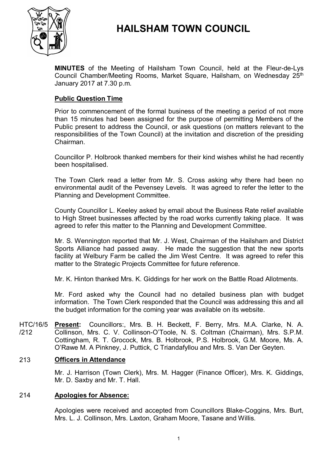

# **HAILSHAM TOWN COUNCIL**

**MINUTES** of the Meeting of Hailsham Town Council, held at the Fleur-de-Lys Council Chamber/Meeting Rooms, Market Square, Hailsham, on Wednesday 25<sup>th</sup> January 2017 at 7.30 p.m.

# **Public Question Time**

Prior to commencement of the formal business of the meeting a period of not more than 15 minutes had been assigned for the purpose of permitting Members of the Public present to address the Council, or ask questions (on matters relevant to the responsibilities of the Town Council) at the invitation and discretion of the presiding Chairman.

Councillor P. Holbrook thanked members for their kind wishes whilst he had recently been hospitalised.

The Town Clerk read a letter from Mr. S. Cross asking why there had been no environmental audit of the Pevensey Levels. It was agreed to refer the letter to the Planning and Development Committee.

County Councillor L. Keeley asked by email about the Business Rate relief available to High Street businesses affected by the road works currently taking place. It was agreed to refer this matter to the Planning and Development Committee.

Mr. S. Wennington reported that Mr. J. West, Chairman of the Hailsham and District Sports Alliance had passed away. He made the suggestion that the new sports facility at Welbury Farm be called the Jim West Centre. It was agreed to refer this matter to the Strategic Projects Committee for future reference.

Mr. K. Hinton thanked Mrs. K. Giddings for her work on the Battle Road Allotments.

Mr. Ford asked why the Council had no detailed business plan with budget information. The Town Clerk responded that the Council was addressing this and all the budget information for the coming year was available on its website.

HTC/16/5 /212 **Present:** Councillors:, Mrs. B. H. Beckett, F. Berry, Mrs. M.A. Clarke, N. A. Collinson, Mrs. C. V. Collinson-O'Toole, N. S. Coltman (Chairman), Mrs. S.P.M. Cottingham, R. T. Grocock, Mrs. B. Holbrook, P.S. Holbrook, G.M. Moore, Ms. A. O'Rawe M. A Pinkney, J. Puttick, C Triandafyllou and Mrs. S. Van Der Geyten.

# 213 **Officers in Attendance**

Mr. J. Harrison (Town Clerk), Mrs. M. Hagger (Finance Officer), Mrs. K. Giddings, Mr. D. Saxby and Mr. T. Hall.

### 214 **Apologies for Absence:**

Apologies were received and accepted from Councillors Blake-Coggins, Mrs. Burt, Mrs. L. J. Collinson, Mrs. Laxton, Graham Moore, Tasane and Willis.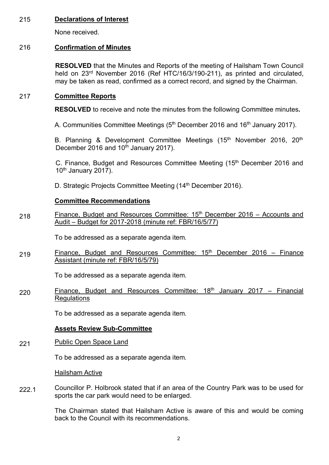# 215 **Declarations of Interest**

None received.

# 216 **Confirmation of Minutes**

**RESOLVED** that the Minutes and Reports of the meeting of Hailsham Town Council held on 23<sup>rd</sup> November 2016 (Ref HTC/16/3/190-211), as printed and circulated, may be taken as read, confirmed as a correct record, and signed by the Chairman.

# 217 **Committee Reports**

**RESOLVED** to receive and note the minutes from the following Committee minutes**.**

A. Communities Committee Meetings (5<sup>th</sup> December 2016 and 16<sup>th</sup> January 2017).

B. Planning & Development Committee Meetings (15<sup>th</sup> November 2016, 20<sup>th</sup> December 2016 and 10<sup>th</sup> January 2017).

C. Finance, Budget and Resources Committee Meeting (15<sup>th</sup> December 2016 and  $10<sup>th</sup>$  January 2017).

D. Strategic Projects Committee Meeting (14<sup>th</sup> December 2016).

# **Committee Recommendations**

218 Finance, Budget and Resources Committee:  $15<sup>th</sup>$  December 2016 – Accounts and Audit – Budget for 2017-2018 (minute ref: FBR/16/5/77)

To be addressed as a separate agenda item.

219 Finance, Budget and Resources Committee:  $15<sup>th</sup>$  December 2016 – Finance Assistant (minute ref: FBR/16/5/79)

To be addressed as a separate agenda item.

220 Finance, Budget and Resources Committee:  $18<sup>th</sup>$  January 2017 – Financial **Regulations** 

To be addressed as a separate agenda item.

# **Assets Review Sub-Committee**

221 Public Open Space Land

To be addressed as a separate agenda item.

Hailsham Active

222.1 Councillor P. Holbrook stated that if an area of the Country Park was to be used for sports the car park would need to be enlarged.

> The Chairman stated that Hailsham Active is aware of this and would be coming back to the Council with its recommendations.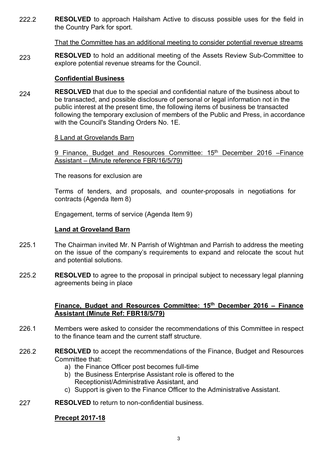222.2 **RESOLVED** to approach Hailsham Active to discuss possible uses for the field in the Country Park for sport.

That the Committee has an additional meeting to consider potential revenue streams

223 **RESOLVED** to hold an additional meeting of the Assets Review Sub-Committee to explore potential revenue streams for the Council.

### **Confidential Business**

224 **RESOLVED** that due to the special and confidential nature of the business about to be transacted, and possible disclosure of personal or legal information not in the public interest at the present time, the following items of business be transacted following the temporary exclusion of members of the Public and Press, in accordance with the Council's Standing Orders No. 1E.

### 8 Land at Grovelands Barn

9 Finance, Budget and Resources Committee: 15<sup>th</sup> December 2016 – Finance Assistant – (Minute reference FBR/16/5/79)

The reasons for exclusion are

Terms of tenders, and proposals, and counter-proposals in negotiations for contracts (Agenda Item 8)

Engagement, terms of service (Agenda Item 9)

### **Land at Groveland Barn**

- 225.1 The Chairman invited Mr. N Parrish of Wightman and Parrish to address the meeting on the issue of the company's requirements to expand and relocate the scout hut and potential solutions.
- 225.2 **RESOLVED** to agree to the proposal in principal subject to necessary legal planning agreements being in place

# **Finance, Budget and Resources Committee: 15th December 2016 – Finance Assistant (Minute Ref: FBR18/5/79)**

- 226.1 Members were asked to consider the recommendations of this Committee in respect to the finance team and the current staff structure.
- 226.2 **RESOLVED** to accept the recommendations of the Finance, Budget and Resources Committee that:
	- a) the Finance Officer post becomes full-time
	- b) the Business Enterprise Assistant role is offered to the Receptionist/Administrative Assistant, and
	- c) Support is given to the Finance Officer to the Administrative Assistant.
- 227 **RESOLVED** to return to non-confidential business.

# **Precept 2017-18**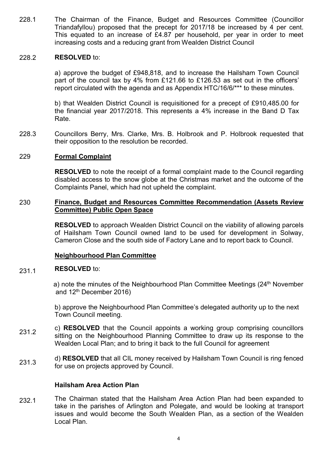228.1 The Chairman of the Finance, Budget and Resources Committee (Councillor Triandafyllou) proposed that the precept for 2017/18 be increased by 4 per cent. This equated to an increase of £4.87 per household, per year in order to meet increasing costs and a reducing grant from Wealden District Council

#### 228.2 **RESOLVED** to:

a) approve the budget of £948,818, and to increase the Hailsham Town Council part of the council tax by 4% from £121.66 to £126.53 as set out in the officers' report circulated with the agenda and as Appendix HTC/16/6/\*\*\* to these minutes.

b) that Wealden District Council is requisitioned for a precept of £910,485.00 for the financial year 2017/2018. This represents a 4% increase in the Band D Tax Rate.

228.3 Councillors Berry, Mrs. Clarke, Mrs. B. Holbrook and P. Holbrook requested that their opposition to the resolution be recorded.

# 229 **Formal Complaint**

**RESOLVED** to note the receipt of a formal complaint made to the Council regarding disabled access to the snow globe at the Christmas market and the outcome of the Complaints Panel, which had not upheld the complaint.

# 230 **Finance, Budget and Resources Committee Recommendation (Assets Review Committee) Public Open Space**

**RESOLVED** to approach Wealden District Council on the viability of allowing parcels of Hailsham Town Council owned land to be used for development in Solway, Cameron Close and the south side of Factory Lane and to report back to Council.

# **Neighbourhood Plan Committee**

#### 231.1 **RESOLVED** to:

a) note the minutes of the Neighbourhood Plan Committee Meetings (24<sup>th</sup> November and 12th December 2016)

b) approve the Neighbourhood Plan Committee's delegated authority up to the next Town Council meeting.

- 231.2 c) **RESOLVED** that the Council appoints a working group comprising councillors sitting on the Neighbourhood Planning Committee to draw up its response to the Wealden Local Plan; and to bring it back to the full Council for agreement
- 231.3 d) **RESOLVED** that all CIL money received by Hailsham Town Council is ring fenced for use on projects approved by Council.

# **Hailsham Area Action Plan**

232.1 The Chairman stated that the Hailsham Area Action Plan had been expanded to take in the parishes of Arlington and Polegate, and would be looking at transport issues and would become the South Wealden Plan, as a section of the Wealden Local Plan.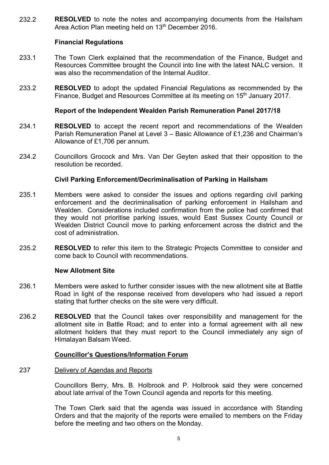232.2 **RESOLVED** to note the notes and accompanying documents from the Hailsham Area Action Plan meeting held on 13<sup>th</sup> December 2016.

# **Financial Regulations**

- 233.1 The Town Clerk explained that the recommendation of the Finance, Budget and Resources Committee brought the Council into line with the latest NALC version. It was also the recommendation of the Internal Auditor.
- 233.2 **RESOLVED** to adopt the updated Financial Regulations as recommended by the Finance, Budget and Resources Committee at its meeting on 15<sup>th</sup> January 2017.

# **Report of the Independent Wealden Parish Remuneration Panel 2017/18**

- 234.1 **RESOLVED** to accept the recent report and recommendations of the Wealden Parish Remuneration Panel at Level 3 – Basic Allowance of £1,236 and Chairman's Allowance of £1,706 per annum.
- 234.2 Councillors Grocock and Mrs. Van Der Geyten asked that their opposition to the resolution be recorded.

# **Civil Parking Enforcement/Decriminalisation of Parking in Hailsham**

- 235.1 Members were asked to consider the issues and options regarding civil parking enforcement and the decriminalisation of parking enforcement in Hailsham and Wealden. Considerations included confirmation from the police had confirmed that they would not prioritise parking issues, would East Sussex County Council or Wealden District Council move to parking enforcement across the district and the cost of administration.
- 235.2 **RESOLVED** to refer this item to the Strategic Projects Committee to consider and come back to Council with recommendations.

# **New Allotment Site**

- 236.1 Members were asked to further consider issues with the new allotment site at Battle Road in light of the response received from developers who had issued a report stating that further checks on the site were very difficult.
- 236.2 **RESOLVED** that the Council takes over responsibility and management for the allotment site in Battle Road; and to enter into a formal agreement with all new allotment holders that they must report to the Council immediately any sign of Himalayan Balsam Weed.

# **Councillor's Questions/Information Forum**

#### 237 Delivery of Agendas and Reports

Councillors Berry, Mrs. B. Holbrook and P. Holbrook said they were concerned about late arrival of the Town Council agenda and reports for this meeting.

The Town Clerk said that the agenda was issued in accordance with Standing Orders and that the majority of the reports were emailed to members on the Friday before the meeting and two others on the Monday.